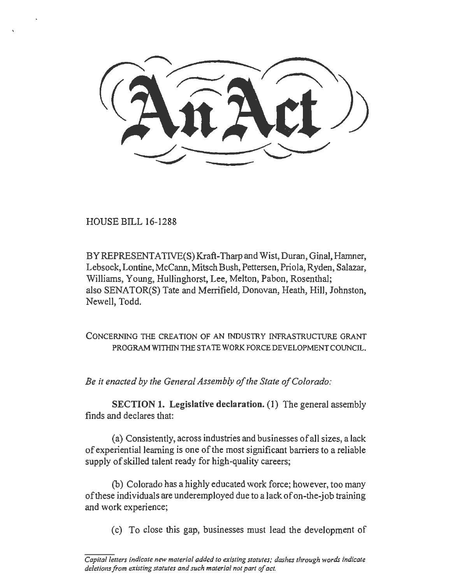HOUSE BILL 16-1288

BY REPRESENT ATIVE(S) Kraft-Tharp and Wist, Duran, Ginal, Hamner, Lebsock, Lontine, McCann, Mitsch Bush, Pettersen, Priola, Ryden, Salazar, Williams, Young, Hullinghorst, Lee, Melton, Pabon, Rosenthal; also SENATOR(S) Tate and Merrifield, Donovan, Heath, Hill, Johnston, Newell, Todd.

CONCERNING THE CREATION OF AN INDUSTRY INFRASTRUCTURE GRANT PROGRAM WITHIN THE STATE WORK FORCE DEVELOPMENT COUNCIL.

*Be it enacted by the General Assembly of the State of Colorado:* 

SECTION 1. Legislative declaration. (1) The general assembly finds and declares that:

(a) Consistently, across industries and businesses of all sizes, a lack of experiential learning is one of the most significant barriers to a reliable supply of skilled talent ready for high-quality careers;

(b) Colorado has a highly educated work force; however, too many of these individuals are underemployed due to a lack of on-the-job training and work experience;

(c) To close this gap, businesses must lead the development of

*Capital letters indicate new material added to existing statutes; dashes through words indicate deletions from existing statutes and such material not part of act.*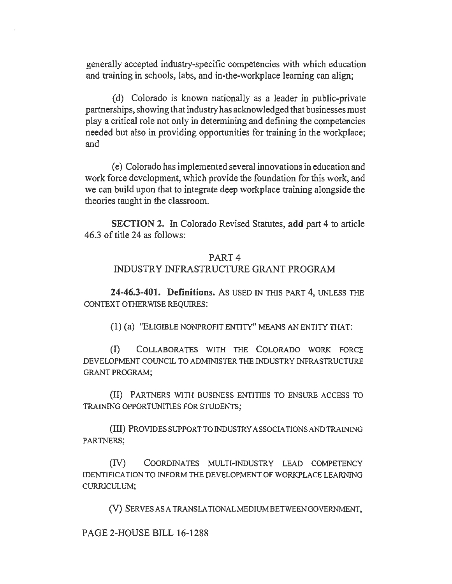generally accepted industry-specific competencies with which education and training in schools, labs, and in-the-workplace learning can align;

( d) Colorado is known nationally as a leader in public-private partnerships, showing that industry has acknowledged that businesses must play a critical role not only in determining and defining the competencies needed but also in providing opportunities for training in the workplace; and

( e) Colorado has implemented several innovations in education and work force development, which provide the foundation for this work, and we can build upon that to integrate deep workplace training alongside the theories taught in the classroom.

SECTION 2. In Colorado Revised Statutes, add part 4 to article 46.3 of title 24 as follows:

## PART4

## INDUSTRY INFRASTRUCTURE GRANT PROGRAM

24-46.3-401. Definitions. As USED IN TIIIS PART 4, UNLESS THE CONTEXT OTHERWISE REQUIRES:

(1) (a) "ELIGIBLE NONPROFIT ENTITY" MEANS AN ENTITY TIIAT:

(I) COLLABORATES WITH THE COLORADO WORK FORCE DEVELOPMENT COUNCIL TO ADMINISTER THE INDUSTRY INFRASTRUCTURE GRANT PROGRAM;

(II) PARTNERS WITH BUSINESS ENTITIES TO ENSURE ACCESS TO TRAINING OPPORTUNITIES FOR STUDENTS;

(III) PROVIDES SUPPORT TO INDUSTRY ASSOCIATIONS AND TRAINING PARTNERS;

(IV) COORDINATES MULTI-INDUSTRY LEAD COMPETENCY IDENTIFICATION TO INFORM THE DEVELOPMENT OF WORKPLACE LEARNING CURRJCULUM;

(V) SERVES ASA TRANS LA TIONALMEDIUM BETWEEN GOVERNMENT,

PAGE 2-HOUSE BILL 16-1288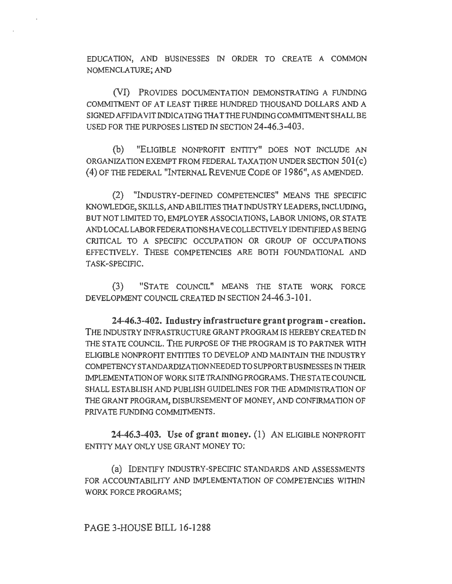EDUCATION, AND BUSINESSES IN ORDER TO CREATE A COMMON NOMENCLATURE; AND

(VI) PROVIDES DOCUMENTATION DEMONSTRATING A FUNDING COMMITMENT OF AT LEAST THREE HUNDRED THOUSAND DOLLARS AND A SIGNED AFFIDAVIT INDICATING THAT THE FUNDING COMMITMENT SHALL BE USED FOR THE PURPOSES LISTED IN SECTION 24-46.3-403.

(b) "ELIGIBLE NONPROFIT ENTITY" DOES NOT INCLUDE AN ORGANIZATION EXEMPT FROM FEDERAL TAXATION UNDER SECTION 501(c) (4) OF THE FEDERAL "INTERNAL REVENUE CODE OF 1986", AS AMENDED.

(2) "INDUSTRY-DEFINED COMPETENCIES" MEANS THE SPECIFIC KNOWLEDGE, SKILLS, AND ABILITIES THAT INDUSTRY LEADERS, INCLUDING, BUT NOT LIMITED TO, EMPLOYER ASSOCIATIONS, LABOR UNIONS, OR STA TE AND LOCALLABORFEDERA TIONSHA VECOLLECTIVEL Y IDENTIFIED AS BEING CRITICAL TO A SPECIFIC OCCUPATION OR GROUP OF OCCUPATIONS EFFECTIVELY. THESE COMPETENCIES ARE BOTII FOUNDATIONAL AND TASK-SPECIFIC.

(3) "STATE COUNCIL" MEANS THE STATE WORK FORCE DEVELOPMENT COUNCIL CREATED IN SECTION 24-46.3-101.

24-46.3-402. Industry infrastructure grant program - creation. THE INDUSTRY INFRASTRUCTURE GRANT PROGRAM IS HEREBY CREATED IN THE STATE COUNCIL. THE PURPOSE OF THE PROGRAM IS TO PARTNER WITH ELIGIBLE NONPROFIT ENTITIES TO DEVELOP AND MAINTAIN THE INDUSTRY COMPETENCY STANDARDIZATION NEEDED TO SUPPORT BUSINESSES IN THEIR IMPLEMENTATION OF WORK SITE TRAINING PROGRAMS. THE STA TE COUNCIL SHALL ESTABLISH AND PUBLISH GUIDELINES FOR THE ADMINISTRATION OF THE GRANT PROGRAM, DISBURSEMENT OF MONEY, AND CONFIRMATION OF PRIVATE FUNDING COMMITMENTS.

24-46.3-403. Use of grant money. (1) AN ELIGIBLE NONPROFIT ENTITY MAY ONLY USE GRANT MONEY TO:

(a) IDENTIFY INDUSTRY-SPECIFIC STANDARDS AND ASSESSMENTS FOR ACCOUNTABILITY AND IMPLEMENTATION OF COMPETENCIES WITHIN WORK FORCE PROGRAMS;

## PAGE 3-HOUSE BILL 16-1288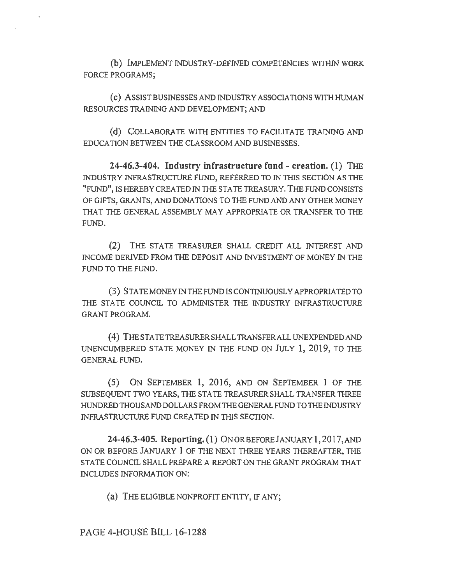(b) IMPLEMENT INDUSTRY-DEFINED COMPETENCIES WllHIN WORK FORCE PROGRAMS;

( c) ASSIST BUSINESSES AND INDUSTRY ASSOCIATIONS WITII HUMAN RESOURCES TRAINING AND DEVELOPMENT; AND

(d) COLLABORATE WITH ENTITIES TO FACILITATE TRAINING AND EDUCATION BETWEEN THE CLASSROOM AND BUSINESSES.

**24-46.3-404. Industry infrastructure fund - creation. (1)** THE INDUSTRY INFRASTRUCTURE FUND, REFERRED TO IN THIS SECTION AS THE "FUND", IS HEREBY CREATED IN THE STA TE TREASURY. THE FUND CONSISTS OF GIFTS, GRANTS, AND DONATIONS TO THE FUND AND ANY OTHER MONEY THAT THE GENERAL ASSEMBLY MAY APPROPRIATE OR TRANSFER TO THE FUND.

(2) THE STATE TREASURER SHALL CREDIT ALL INTEREST AND INCOME DERIVED FROM THE DEPOSIT AND INVESTMENT OF MONEY IN THE FUND TO THE FUND.

(3) STA TEMONEY IN THE FUND IS CONTINUOUSLY APPROPRIATED TO THE STATE COUNCIL TO ADMINISTER THE INDUSTRY INFRASTRUCTURE GRANT PROGRAM.

( 4) THE STA TE TREASURER SHALL TRANSFER ALL UNEXPENDED AND UNENCUMBERED STATE MONEY IN THE FUND ON JULY l, 2019, TO THE GENERAL FUND.

( 5) ON SEPTEMBER 1, 2016, AND ON SEPTEMBER 1 OF THE SUBSEQUENT TWO YEARS, THE STATE TREASURER SHALL TRANSFER THREE HUNDRED THOUSAND DOLLARS FROM THE GENERAL FUND TO THE INDUSTRY INFRASTRUCTURE FUND CREA TED IN THIS SECTION.

**24-46.3-405. Reporting. (1)** ONORBEFOREJANUARY 1,2017,AND ON OR BEFORE JANUARY 1 OF THE NEXT THREE YEARS THEREAFTER, THE STATE COUNCIL SHALL PREPARE A REPORT ON THE GRANT PROGRAM THAT INCLUDES INFORMATION ON:

(a) THE ELIGIBLE NONPROFIT ENTITY, IF ANY;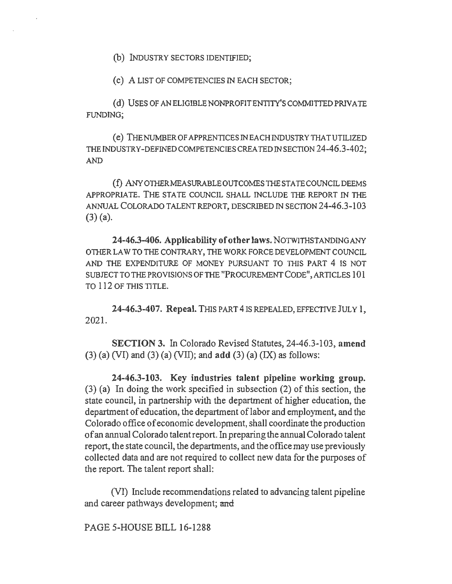(b) INDUSTRY SECTORS IDENTIFIED;

(c) A LIST OF COMPETENCIES IN EACH SECTOR;

(d) USES OF AN ELIGIBLE NONPROFIT ENTITY'S COMMITTED PRIVATE FUNDING;

(e) THENUMBEROFAPPRENTICESINEACHINDUSTRYTHATUTILIZED THE INDUSTRY-DEFINED COMPETENCIES CREA TED IN SECTION 24-46.3-402; AND

(f) ANY01HERMEASURABLEOUTCOMESTHESTATECOUNCILDEEMS APPROPRIATE. THE STATE COUNCIL SHALL INCLUDE THE REPORT IN THE ANNUAL COLORADO TALENT REPORT, DESCRIBED IN SECTION 24-46.3-103 (3) (a).

24-46.3-406. Applicability of other laws. NOTWITHSTANDING ANY OTHER LAW TO THE CONTRARY, THE WORK FORCE DEVELOPMENT COUNCIL AND THE EXPENDITURE OF MONEY PURSUANT TO THIS PART 4 IS NOT SUBJECT TO THE PROVISIONS OF THE "PROCUREMENT CODE", ARTICLES 101 TO 112 OF THIS TITLE.

24-46.3-407. Repeal. THIS PART 4 IS REPEALED, EFFECTIVE JULY 1, 2021.

SECTION 3. In Colorado Revised Statutes, 24-46.3-103, amend  $(3)$  (a) (VI) and (3) (a) (VII); and add (3) (a) (IX) as follows:

24-46.3-103. Key industries talent pipeline working group. (3) (a) In doing the work specified in subsection (2) of this section, the state council, in partnership with the department of higher education, the department of education, the department of labor and employment, and the Colorado office of economic development, shall coordinate the production of an annual Colorado talent report. In preparing the annual Colorado talent report, the state council, the departments, and the office may use previously collected data and are not required to collect new data for the purposes of the report. The talent report shall:

(VI) Include recommendations related to advancing talent pipeline and career pathways development; and

PAGE 5-HOUSE BILL 16-1288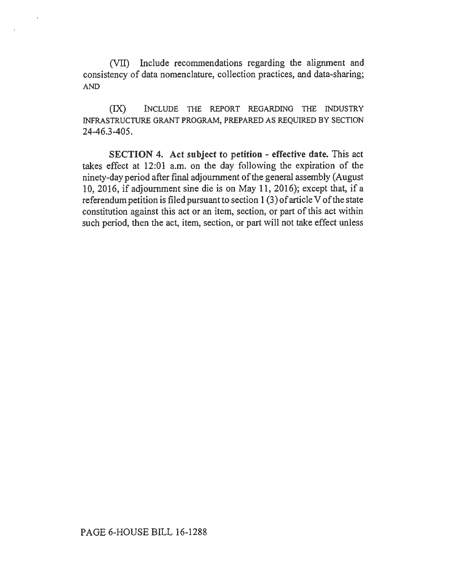(VII) Include recommendations regarding the alignment and consistency of data nomenclature, collection practices, and data-sharing; AND

(IX) INCLUDE TIIE REPORT REGARDING TIIE INDUSTRY INFRASTRUCTURE GRANT PROGRAM, PREPARED AS REQUIRED BY SECTION 24-46.3-405.

SECTION 4. Act subject to petition - effective date. This act takes effect at 12:01 a.m. on the day following the expiration of the ninety-day period after final adjournment of the general assembly (August 10, 2016, if adjournment sine die is on May 11, 2016); except that, if a referendum petition is filed pursuant to section I (3) of article V of the state constitution against this act or an item, section, or part of this act within such period, then the act, item, section, or part will not take effect unless